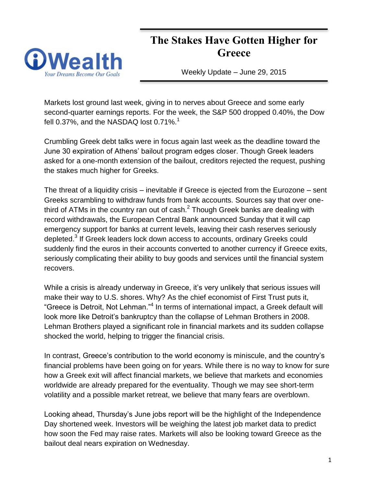# **The Stakes Have Gotten Higher for Greece**



Weekly Update – June 29, 2015

Markets lost ground last week, giving in to nerves about Greece and some early second-quarter earnings reports. For the week, the S&P 500 dropped 0.40%, the Dow fell 0.37%, and the NASDAQ lost 0.71%.<sup>1</sup>

Crumbling Greek debt talks were in focus again last week as the deadline toward the June 30 expiration of Athens' bailout program edges closer. Though Greek leaders asked for a one-month extension of the bailout, creditors rejected the request, pushing the stakes much higher for Greeks.

The threat of a liquidity crisis – inevitable if Greece is ejected from the Eurozone – sent Greeks scrambling to withdraw funds from bank accounts. Sources say that over onethird of ATMs in the country ran out of cash.<sup>2</sup> Though Greek banks are dealing with record withdrawals, the European Central Bank announced Sunday that it will cap emergency support for banks at current levels, leaving their cash reserves seriously depleted.<sup>3</sup> If Greek leaders lock down access to accounts, ordinary Greeks could suddenly find the euros in their accounts converted to another currency if Greece exits, seriously complicating their ability to buy goods and services until the financial system recovers.

While a crisis is already underway in Greece, it's very unlikely that serious issues will make their way to U.S. shores. Why? As the chief economist of First Trust puts it, "Greece is Detroit, Not Lehman."<sup>4</sup> In terms of international impact, a Greek default will look more like Detroit's bankruptcy than the collapse of Lehman Brothers in 2008. Lehman Brothers played a significant role in financial markets and its sudden collapse shocked the world, helping to trigger the financial crisis.

In contrast, Greece's contribution to the world economy is miniscule, and the country's financial problems have been going on for years. While there is no way to know for sure how a Greek exit will affect financial markets, we believe that markets and economies worldwide are already prepared for the eventuality. Though we may see short-term volatility and a possible market retreat, we believe that many fears are overblown.

Looking ahead, Thursday's June jobs report will be the highlight of the Independence Day shortened week. Investors will be weighing the latest job market data to predict how soon the Fed may raise rates. Markets will also be looking toward Greece as the bailout deal nears expiration on Wednesday.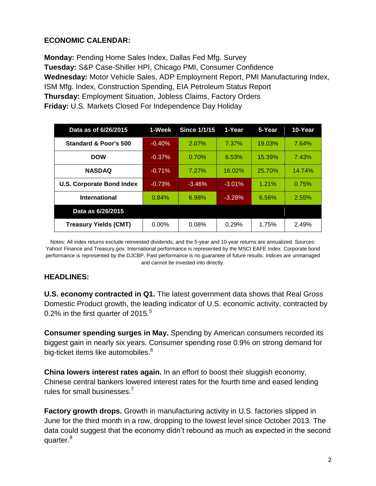# **ECONOMIC CALENDAR:**

**Monday:** Pending Home Sales Index, Dallas Fed Mfg. Survey **Tuesday:** S&P Case-Shiller HPI, Chicago PMI, Consumer Confidence **Wednesday:** Motor Vehicle Sales, ADP Employment Report, PMI Manufacturing Index, ISM Mfg. Index, Construction Spending, EIA Petroleum Status Report **Thursday:** Employment Situation, Jobless Claims, Factory Orders **Friday:** U.S. Markets Closed For Independence Day Holiday

| Data as of 6/26/2015             | 1-Week   | <b>Since 1/1/15</b> | 1-Year   | 5-Year | 10-Year |
|----------------------------------|----------|---------------------|----------|--------|---------|
| <b>Standard &amp; Poor's 500</b> | $-0.40%$ | 2.07%               | 7.37%    | 19.03% | 7.64%   |
| <b>DOW</b>                       | $-0.37%$ | 0.70%               | 6.53%    | 15.39% | 7.43%   |
| <b>NASDAQ</b>                    | $-0.71%$ | 7.27%               | 16.02%   | 25.70% | 14.74%  |
| <b>U.S. Corporate Bond Index</b> | $-0.73%$ | $-3.46%$            | $-3.01%$ | 1.21%  | 0.75%   |
| International                    | 0.84%    | 6.98%               | $-3.28%$ | 6.56%  | 2.55%   |
| Data as 6/26/2015                |          |                     |          |        |         |
| <b>Treasury Yields (CMT)</b>     | $0.00\%$ | 0.08%               | 0.29%    | 1.75%  | 2.49%   |

Notes: All index returns exclude reinvested dividends, and the 5-year and 10-year returns are annualized. Sources: Yahoo! Finance and [Treasury.gov.](http://treasury.gov/) International performance is represented by the MSCI EAFE Index. Corporate bond performance is represented by the DJCBP. Past performance is no guarantee of future results. Indices are unmanaged and cannot be invested into directly.

### **HEADLINES:**

**U.S. economy contracted in Q1.** The latest government data shows that Real Gross Domestic Product growth, the leading indicator of U.S. economic activity, contracted by 0.2% in the first quarter of 2015. $5$ 

**Consumer spending surges in May.** Spending by American consumers recorded its biggest gain in nearly six years. Consumer spending rose 0.9% on strong demand for big-ticket items like automobiles.<sup>6</sup>

**China lowers interest rates again.** In an effort to boost their sluggish economy, Chinese central bankers lowered interest rates for the fourth time and eased lending rules for small businesses.<sup>7</sup>

**Factory growth drops.** Growth in manufacturing activity in U.S. factories slipped in June for the third month in a row, dropping to the lowest level since October 2013. The data could suggest that the economy didn't rebound as much as expected in the second quarter.<sup>8</sup>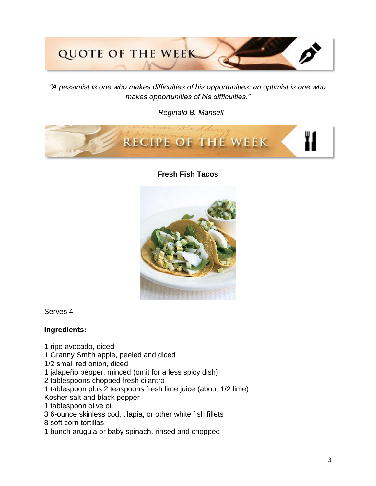# **QUOTE OF THE WEEK**

*"A pessimist is one who makes difficulties of his opportunities; an optimist is one who makes opportunities of his difficulties."* 

*– Reginald B. Mansell*



**Fresh Fish Tacos**



Serves 4

#### **Ingredients:**

- 1 ripe avocado, diced
- 1 Granny Smith apple, peeled and diced
- 1/2 small red onion, diced
- 1 jalapeño pepper, minced (omit for a less spicy dish)
- 2 tablespoons chopped fresh cilantro
- 1 tablespoon plus 2 teaspoons fresh lime juice (about 1/2 lime)
- Kosher salt and black pepper
- 1 tablespoon olive oil
- 3 6-ounce skinless cod, tilapia, or other white fish fillets
- 8 soft corn tortillas
- 1 bunch arugula or baby spinach, rinsed and chopped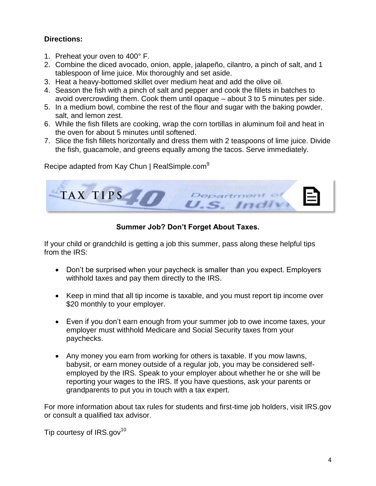# **Directions:**

- 1. Preheat your oven to 400° F.
- 2. Combine the diced avocado, onion, apple, jalapeño, cilantro, a pinch of salt, and 1 tablespoon of lime juice. Mix thoroughly and set aside.
- 3. Heat a heavy-bottomed skillet over medium heat and add the olive oil.
- 4. Season the fish with a pinch of salt and pepper and cook the fillets in batches to avoid overcrowding them. Cook them until opaque – about 3 to 5 minutes per side.
- 5. In a medium bowl, combine the rest of the flour and sugar with the baking powder, salt, and lemon zest.
- 6. While the fish fillets are cooking, wrap the corn tortillas in aluminum foil and heat in the oven for about 5 minutes until softened.
- 7. Slice the fish fillets horizontally and dress them with 2 teaspoons of lime juice. Divide the fish, guacamole, and greens equally among the tacos. Serve immediately.

Recipe adapted from Kay Chun | RealSimple.com<sup>9</sup>



# **Summer Job? Don't Forget About Taxes.**

If your child or grandchild is getting a job this summer, pass along these helpful tips from the IRS:

- Don't be surprised when your paycheck is smaller than you expect. Employers withhold taxes and pay them directly to the IRS.
- Keep in mind that all tip income is taxable, and you must report tip income over \$20 monthly to your employer.
- Even if you don't earn enough from your summer job to owe income taxes, your employer must withhold Medicare and Social Security taxes from your paychecks.
- Any money you earn from working for others is taxable. If you mow lawns, babysit, or earn money outside of a regular job, you may be considered selfemployed by the IRS. Speak to your employer about whether he or she will be reporting your wages to the IRS. If you have questions, ask your parents or grandparents to put you in touch with a tax expert.

For more information about tax rules for students and first-time job holders, visit IRS.gov or consult a qualified tax advisor.

Tip courtesy of  $IRS.gov^{10}$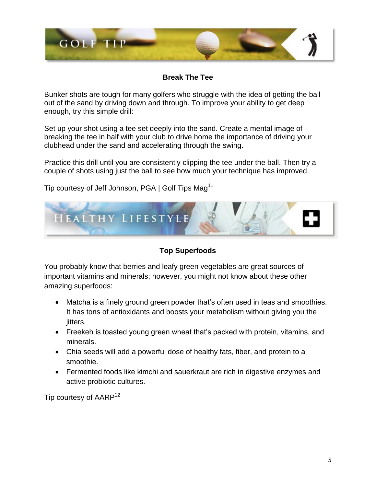

**Break The Tee**

Bunker shots are tough for many golfers who struggle with the idea of getting the ball out of the sand by driving down and through. To improve your ability to get deep enough, try this simple drill:

Set up your shot using a tee set deeply into the sand. Create a mental image of breaking the tee in half with your club to drive home the importance of driving your clubhead under the sand and accelerating through the swing.

Practice this drill until you are consistently clipping the tee under the ball. Then try a couple of shots using just the ball to see how much your technique has improved.

Tip courtesy of Jeff Johnson, PGA | Golf Tips Mag<sup>11</sup>



**Top Superfoods**

You probably know that berries and leafy green vegetables are great sources of important vitamins and minerals; however, you might not know about these other amazing superfoods:

- Matcha is a finely ground green powder that's often used in teas and smoothies. It has tons of antioxidants and boosts your metabolism without giving you the jitters.
- Freekeh is toasted young green wheat that's packed with protein, vitamins, and minerals.
- Chia seeds will add a powerful dose of healthy fats, fiber, and protein to a smoothie.
- Fermented foods like kimchi and sauerkraut are rich in digestive enzymes and active probiotic cultures.

Tip courtesy of AARP<sup>12</sup>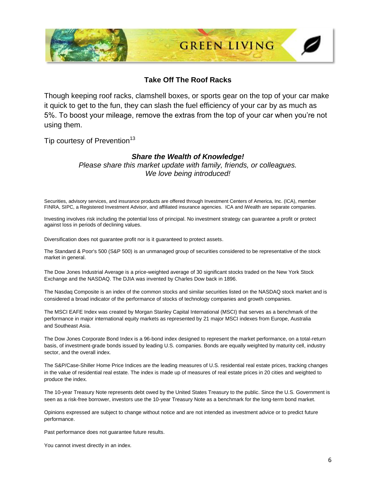

#### **Take Off The Roof Racks**

Though keeping roof racks, clamshell boxes, or sports gear on the top of your car make it quick to get to the fun, they can slash the fuel efficiency of your car by as much as 5%. To boost your mileage, remove the extras from the top of your car when you're not using them.

Tip courtesy of Prevention<sup>13</sup>

#### *Share the Wealth of Knowledge!*

*Please share this market update with family, friends, or colleagues. We love being introduced!*

Securities, advisory services, and insurance products are offered through Investment Centers of America, Inc. (ICA), member FINRA, SIPC, a Registered Investment Advisor, and affiliated insurance agencies. ICA and iWealth are separate companies.

Investing involves risk including the potential loss of principal. No investment strategy can guarantee a profit or protect against loss in periods of declining values.

Diversification does not guarantee profit nor is it guaranteed to protect assets.

The Standard & Poor's 500 (S&P 500) is an unmanaged group of securities considered to be representative of the stock market in general.

The Dow Jones Industrial Average is a price-weighted average of 30 significant stocks traded on the New York Stock Exchange and the NASDAQ. The DJIA was invented by Charles Dow back in 1896.

The Nasdaq Composite is an index of the common stocks and similar securities listed on the NASDAQ stock market and is considered a broad indicator of the performance of stocks of technology companies and growth companies.

The MSCI EAFE Index was created by Morgan Stanley Capital International (MSCI) that serves as a benchmark of the performance in major international equity markets as represented by 21 major MSCI indexes from Europe, Australia and Southeast Asia.

The Dow Jones Corporate Bond Index is a 96-bond index designed to represent the market performance, on a total-return basis, of investment-grade bonds issued by leading U.S. companies. Bonds are equally weighted by maturity cell, industry sector, and the overall index.

The S&P/Case-Shiller Home Price Indices are the leading measures of U.S. residential real estate prices, tracking changes in the value of residential real estate. The index is made up of measures of real estate prices in 20 cities and weighted to produce the index.

The 10-year Treasury Note represents debt owed by the United States Treasury to the public. Since the U.S. Government is seen as a risk-free borrower, investors use the 10-year Treasury Note as a benchmark for the long-term bond market.

Opinions expressed are subject to change without notice and are not intended as investment advice or to predict future performance.

Past performance does not guarantee future results.

You cannot invest directly in an index.